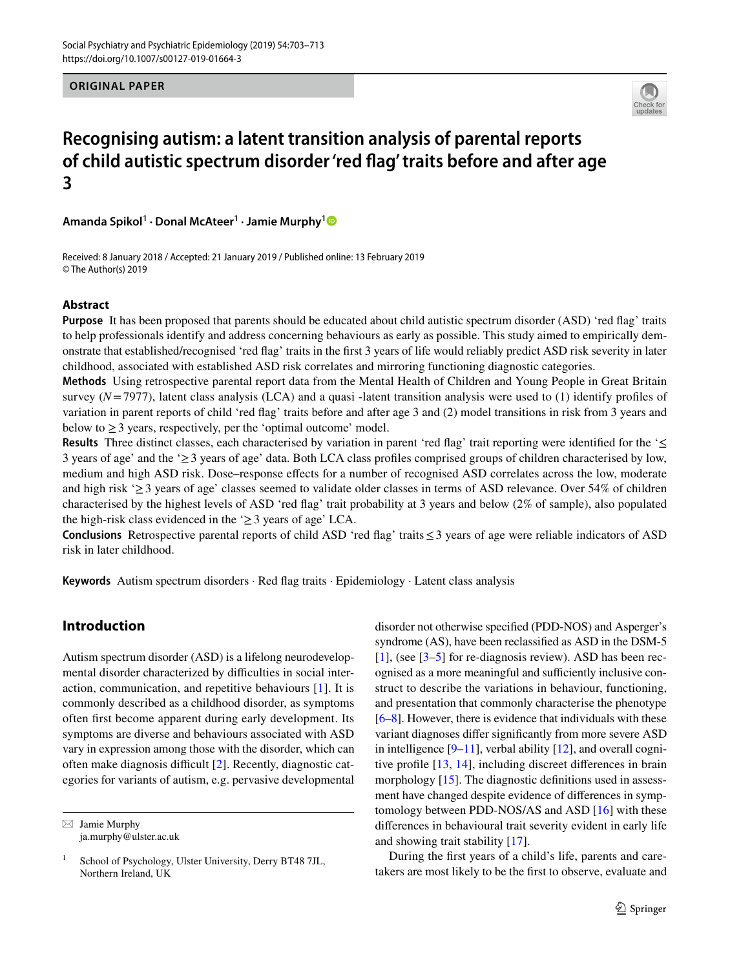**ORIGINAL PAPER**



# **Recognising autism: a latent transition analysis of parental reports of child autistic spectrum disorder 'red flag' traits before and after age 3**

**Amanda Spikol<sup>1</sup> · Donal McAteer1 · Jamie Murphy[1](http://orcid.org/0000-0003-1821-0025)**

Received: 8 January 2018 / Accepted: 21 January 2019 / Published online: 13 February 2019 © The Author(s) 2019

# **Abstract**

**Purpose** It has been proposed that parents should be educated about child autistic spectrum disorder (ASD) 'red flag' traits to help professionals identify and address concerning behaviours as early as possible. This study aimed to empirically demonstrate that established/recognised 'red flag' traits in the first 3 years of life would reliably predict ASD risk severity in later childhood, associated with established ASD risk correlates and mirroring functioning diagnostic categories.

**Methods** Using retrospective parental report data from the Mental Health of Children and Young People in Great Britain survey  $(N=7977)$ , latent class analysis (LCA) and a quasi -latent transition analysis were used to (1) identify profiles of variation in parent reports of child 'red flag' traits before and after age 3 and (2) model transitions in risk from 3 years and below to  $\geq$  3 years, respectively, per the 'optimal outcome' model.

**Results** Three distinct classes, each characterised by variation in parent 'red flag' trait reporting were identified for the '≤ 3 years of age' and the '≥3 years of age' data. Both LCA class profiles comprised groups of children characterised by low, medium and high ASD risk. Dose–response effects for a number of recognised ASD correlates across the low, moderate and high risk ' $\geq$  3 years of age' classes seemed to validate older classes in terms of ASD relevance. Over 54% of children characterised by the highest levels of ASD 'red flag' trait probability at 3 years and below (2% of sample), also populated the high-risk class evidenced in the  $\geq$  3 years of age' LCA.

**Conclusions** Retrospective parental reports of child ASD 'red flag' traits≤3 years of age were reliable indicators of ASD risk in later childhood.

**Keywords** Autism spectrum disorders · Red flag traits · Epidemiology · Latent class analysis

# **Introduction**

Autism spectrum disorder (ASD) is a lifelong neurodevelopmental disorder characterized by difficulties in social interaction, communication, and repetitive behaviours [\[1](#page-8-0)]. It is commonly described as a childhood disorder, as symptoms often first become apparent during early development. Its symptoms are diverse and behaviours associated with ASD vary in expression among those with the disorder, which can often make diagnosis difficult [[2\]](#page-8-1). Recently, diagnostic categories for variants of autism, e.g. pervasive developmental

 $\boxtimes$  Jamie Murphy ja.murphy@ulster.ac.uk disorder not otherwise specified (PDD-NOS) and Asperger's syndrome (AS), have been reclassified as ASD in the DSM-5 [[1\]](#page-8-0), (see [\[3](#page-8-2)[–5](#page-8-3)] for re-diagnosis review). ASD has been recognised as a more meaningful and sufficiently inclusive construct to describe the variations in behaviour, functioning, and presentation that commonly characterise the phenotype [\[6](#page-8-4)[–8](#page-8-5)]. However, there is evidence that individuals with these variant diagnoses differ significantly from more severe ASD in intelligence  $[9-11]$  $[9-11]$ , verbal ability  $[12]$  $[12]$ , and overall cognitive profile [\[13,](#page-8-9) [14\]](#page-8-10), including discreet differences in brain morphology [\[15](#page-8-11)]. The diagnostic definitions used in assessment have changed despite evidence of differences in symptomology between PDD-NOS/AS and ASD [\[16](#page-8-12)] with these differences in behavioural trait severity evident in early life and showing trait stability [[17\]](#page-8-13).

During the first years of a child's life, parents and caretakers are most likely to be the first to observe, evaluate and

<sup>&</sup>lt;sup>1</sup> School of Psychology, Ulster University, Derry BT48 7JL, Northern Ireland, UK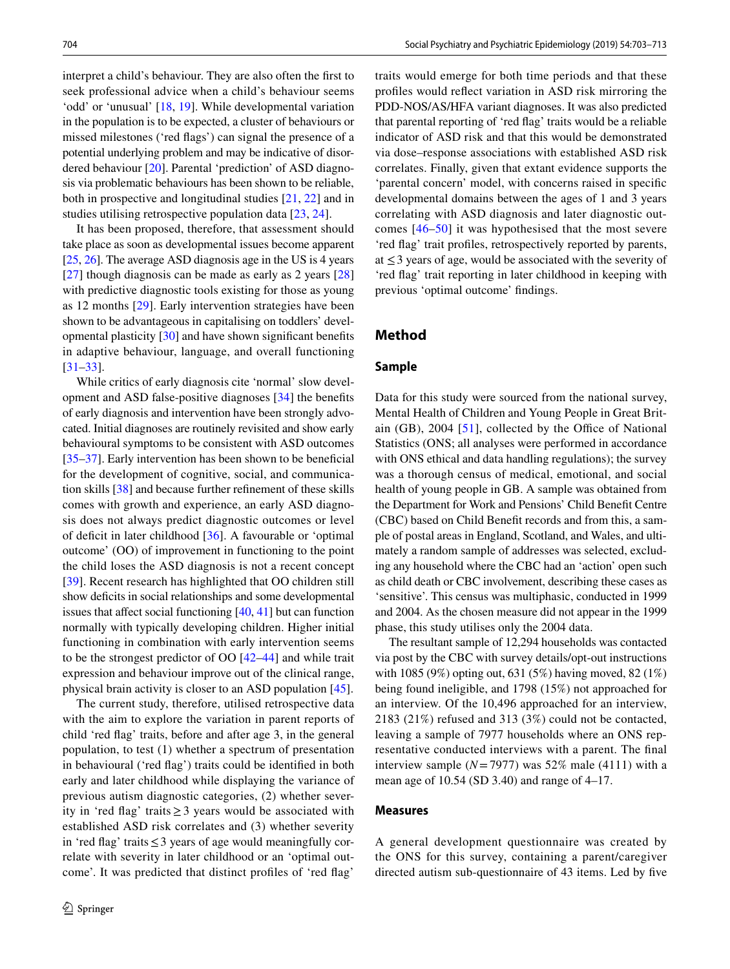interpret a child's behaviour. They are also often the first to seek professional advice when a child's behaviour seems 'odd' or 'unusual' [[18,](#page-8-14) [19\]](#page-8-15). While developmental variation in the population is to be expected, a cluster of behaviours or missed milestones ('red flags') can signal the presence of a potential underlying problem and may be indicative of disordered behaviour [[20\]](#page-8-16). Parental 'prediction' of ASD diagnosis via problematic behaviours has been shown to be reliable, both in prospective and longitudinal studies [\[21](#page-8-17), [22](#page-8-18)] and in studies utilising retrospective population data [[23](#page-8-19), [24](#page-8-20)].

It has been proposed, therefore, that assessment should take place as soon as developmental issues become apparent [\[25](#page-8-21), [26\]](#page-8-22). The average ASD diagnosis age in the US is 4 years [\[27\]](#page-8-23) though diagnosis can be made as early as 2 years [[28\]](#page-9-0) with predictive diagnostic tools existing for those as young as 12 months [[29\]](#page-9-1). Early intervention strategies have been shown to be advantageous in capitalising on toddlers' developmental plasticity [[30\]](#page-9-2) and have shown significant benefits in adaptive behaviour, language, and overall functioning [\[31–](#page-9-3)[33\]](#page-9-4).

While critics of early diagnosis cite 'normal' slow development and ASD false-positive diagnoses [[34\]](#page-9-5) the benefits of early diagnosis and intervention have been strongly advocated. Initial diagnoses are routinely revisited and show early behavioural symptoms to be consistent with ASD outcomes [\[35](#page-9-6)[–37\]](#page-9-7). Early intervention has been shown to be beneficial for the development of cognitive, social, and communication skills [\[38](#page-9-8)] and because further refinement of these skills comes with growth and experience, an early ASD diagnosis does not always predict diagnostic outcomes or level of deficit in later childhood [[36](#page-9-9)]. A favourable or 'optimal outcome' (OO) of improvement in functioning to the point the child loses the ASD diagnosis is not a recent concept [\[39\]](#page-9-10). Recent research has highlighted that OO children still show deficits in social relationships and some developmental issues that affect social functioning [\[40,](#page-9-11) [41\]](#page-9-12) but can function normally with typically developing children. Higher initial functioning in combination with early intervention seems to be the strongest predictor of OO [[42](#page-9-13)[–44](#page-9-14)] and while trait expression and behaviour improve out of the clinical range, physical brain activity is closer to an ASD population [[45\]](#page-9-15).

The current study, therefore, utilised retrospective data with the aim to explore the variation in parent reports of child 'red flag' traits, before and after age 3, in the general population, to test (1) whether a spectrum of presentation in behavioural ('red flag') traits could be identified in both early and later childhood while displaying the variance of previous autism diagnostic categories, (2) whether severity in 'red flag' traits≥3 years would be associated with established ASD risk correlates and (3) whether severity in 'red flag' traits≤3 years of age would meaningfully correlate with severity in later childhood or an 'optimal outcome'. It was predicted that distinct profiles of 'red flag'

traits would emerge for both time periods and that these profiles would reflect variation in ASD risk mirroring the PDD-NOS/AS/HFA variant diagnoses. It was also predicted that parental reporting of 'red flag' traits would be a reliable indicator of ASD risk and that this would be demonstrated via dose–response associations with established ASD risk correlates. Finally, given that extant evidence supports the 'parental concern' model, with concerns raised in specific developmental domains between the ages of 1 and 3 years correlating with ASD diagnosis and later diagnostic outcomes [[46](#page-9-16)[–50\]](#page-9-17) it was hypothesised that the most severe 'red flag' trait profiles, retrospectively reported by parents, at  $\leq$  3 years of age, would be associated with the severity of 'red flag' trait reporting in later childhood in keeping with previous 'optimal outcome' findings.

# **Method**

# **Sample**

Data for this study were sourced from the national survey, Mental Health of Children and Young People in Great Britain (GB), 2004 [\[51\]](#page-9-18), collected by the Office of National Statistics (ONS; all analyses were performed in accordance with ONS ethical and data handling regulations); the survey was a thorough census of medical, emotional, and social health of young people in GB. A sample was obtained from the Department for Work and Pensions' Child Benefit Centre (CBC) based on Child Benefit records and from this, a sample of postal areas in England, Scotland, and Wales, and ultimately a random sample of addresses was selected, excluding any household where the CBC had an 'action' open such as child death or CBC involvement, describing these cases as 'sensitive'. This census was multiphasic, conducted in 1999 and 2004. As the chosen measure did not appear in the 1999 phase, this study utilises only the 2004 data.

The resultant sample of 12,294 households was contacted via post by the CBC with survey details/opt-out instructions with 1085 (9%) opting out, 631 (5%) having moved, 82 (1%) being found ineligible, and 1798 (15%) not approached for an interview. Of the 10,496 approached for an interview, 2183 (21%) refused and 313 (3%) could not be contacted, leaving a sample of 7977 households where an ONS representative conducted interviews with a parent. The final interview sample  $(N=7977)$  was 52% male (4111) with a mean age of 10.54 (SD 3.40) and range of 4–17.

### **Measures**

A general development questionnaire was created by the ONS for this survey, containing a parent/caregiver directed autism sub-questionnaire of 43 items. Led by five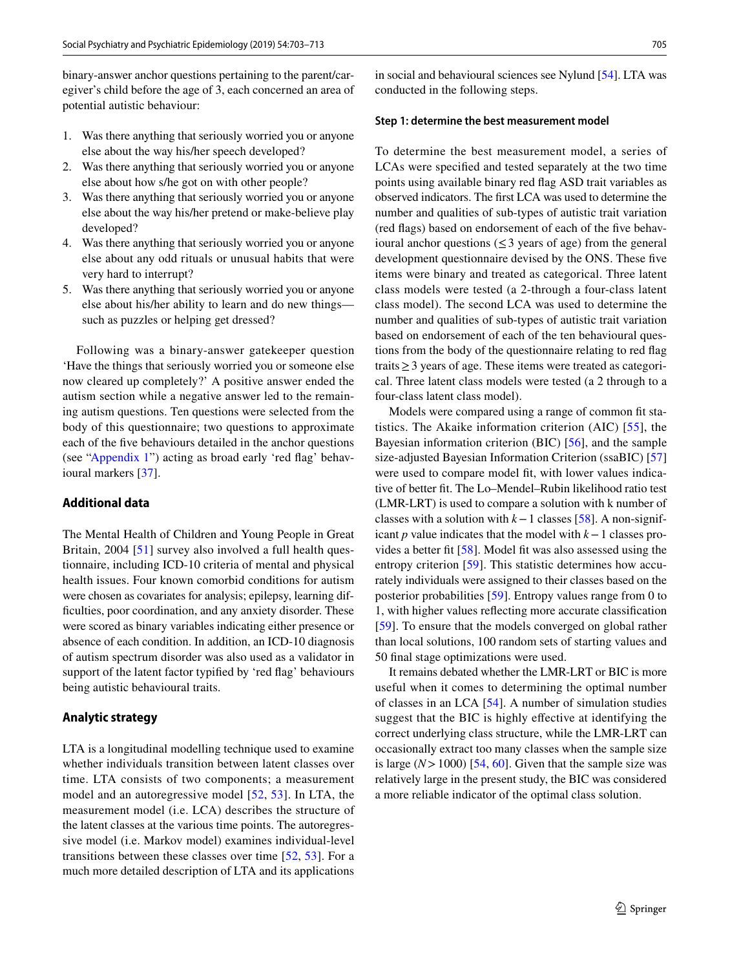binary-answer anchor questions pertaining to the parent/caregiver's child before the age of 3, each concerned an area of potential autistic behaviour:

- 1. Was there anything that seriously worried you or anyone else about the way his/her speech developed?
- 2. Was there anything that seriously worried you or anyone else about how s/he got on with other people?
- 3. Was there anything that seriously worried you or anyone else about the way his/her pretend or make-believe play developed?
- 4. Was there anything that seriously worried you or anyone else about any odd rituals or unusual habits that were very hard to interrupt?
- 5. Was there anything that seriously worried you or anyone else about his/her ability to learn and do new things such as puzzles or helping get dressed?

Following was a binary-answer gatekeeper question 'Have the things that seriously worried you or someone else now cleared up completely?' A positive answer ended the autism section while a negative answer led to the remaining autism questions. Ten questions were selected from the body of this questionnaire; two questions to approximate each of the five behaviours detailed in the anchor questions (see ["Appendix 1](#page-7-0)") acting as broad early 'red flag' behavioural markers [\[37](#page-9-7)].

# **Additional data**

The Mental Health of Children and Young People in Great Britain, 2004 [[51\]](#page-9-18) survey also involved a full health questionnaire, including ICD-10 criteria of mental and physical health issues. Four known comorbid conditions for autism were chosen as covariates for analysis; epilepsy, learning difficulties, poor coordination, and any anxiety disorder. These were scored as binary variables indicating either presence or absence of each condition. In addition, an ICD-10 diagnosis of autism spectrum disorder was also used as a validator in support of the latent factor typified by 'red flag' behaviours being autistic behavioural traits.

#### **Analytic strategy**

LTA is a longitudinal modelling technique used to examine whether individuals transition between latent classes over time. LTA consists of two components; a measurement model and an autoregressive model [\[52](#page-9-19), [53](#page-9-20)]. In LTA, the measurement model (i.e. LCA) describes the structure of the latent classes at the various time points. The autoregressive model (i.e. Markov model) examines individual-level transitions between these classes over time [\[52](#page-9-19), [53\]](#page-9-20). For a much more detailed description of LTA and its applications

in social and behavioural sciences see Nylund [\[54\]](#page-9-21). LTA was conducted in the following steps.

#### **Step 1: determine the best measurement model**

To determine the best measurement model, a series of LCAs were specified and tested separately at the two time points using available binary red flag ASD trait variables as observed indicators. The first LCA was used to determine the number and qualities of sub-types of autistic trait variation (red flags) based on endorsement of each of the five behavioural anchor questions ( $\leq$ 3 years of age) from the general development questionnaire devised by the ONS. These five items were binary and treated as categorical. Three latent class models were tested (a 2-through a four-class latent class model). The second LCA was used to determine the number and qualities of sub-types of autistic trait variation based on endorsement of each of the ten behavioural questions from the body of the questionnaire relating to red flag traits≥3 years of age. These items were treated as categorical. Three latent class models were tested (a 2 through to a four-class latent class model).

Models were compared using a range of common fit statistics. The Akaike information criterion (AIC) [[55](#page-9-22)], the Bayesian information criterion (BIC) [[56](#page-9-23)], and the sample size-adjusted Bayesian Information Criterion (ssaBIC) [[57\]](#page-9-24) were used to compare model fit, with lower values indicative of better fit. The Lo–Mendel–Rubin likelihood ratio test (LMR-LRT) is used to compare a solution with k number of classes with a solution with *k*−1 classes [\[58](#page-9-25)]. A non-significant *p* value indicates that the model with *k*−1 classes provides a better fit [\[58](#page-9-25)]. Model fit was also assessed using the entropy criterion [[59](#page-9-26)]. This statistic determines how accurately individuals were assigned to their classes based on the posterior probabilities [[59](#page-9-26)]. Entropy values range from 0 to 1, with higher values reflecting more accurate classification [[59\]](#page-9-26). To ensure that the models converged on global rather than local solutions, 100 random sets of starting values and 50 final stage optimizations were used.

It remains debated whether the LMR-LRT or BIC is more useful when it comes to determining the optimal number of classes in an LCA [\[54](#page-9-21)]. A number of simulation studies suggest that the BIC is highly effective at identifying the correct underlying class structure, while the LMR-LRT can occasionally extract too many classes when the sample size is large  $(N > 1000)$  [[54,](#page-9-21) [60\]](#page-9-27). Given that the sample size was relatively large in the present study, the BIC was considered a more reliable indicator of the optimal class solution.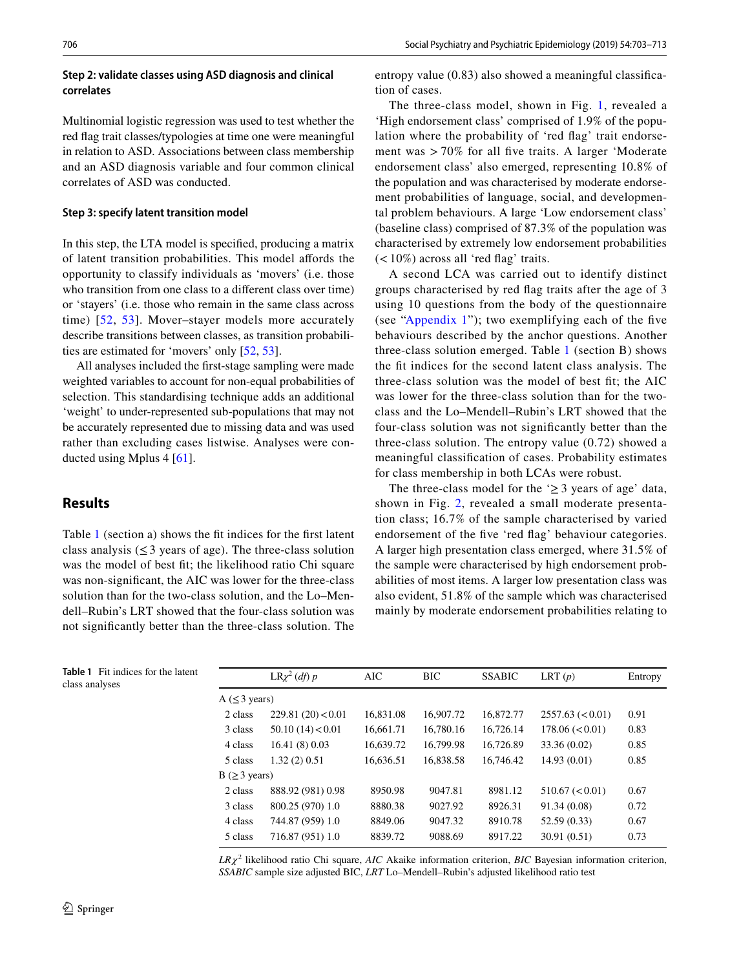# **Step 2: validate classes using ASD diagnosis and clinical correlates**

Multinomial logistic regression was used to test whether the red flag trait classes/typologies at time one were meaningful in relation to ASD. Associations between class membership and an ASD diagnosis variable and four common clinical correlates of ASD was conducted.

### **Step 3: specify latent transition model**

In this step, the LTA model is specified, producing a matrix of latent transition probabilities. This model affords the opportunity to classify individuals as 'movers' (i.e. those who transition from one class to a different class over time) or 'stayers' (i.e. those who remain in the same class across time) [[52](#page-9-19), [53](#page-9-20)]. Mover–stayer models more accurately describe transitions between classes, as transition probabilities are estimated for 'movers' only [[52](#page-9-19), [53](#page-9-20)].

All analyses included the first-stage sampling were made weighted variables to account for non-equal probabilities of selection. This standardising technique adds an additional 'weight' to under-represented sub-populations that may not be accurately represented due to missing data and was used rather than excluding cases listwise. Analyses were conducted using Mplus 4 [[61\]](#page-9-28).

# **Results**

Table [1](#page-3-0) (section a) shows the fit indices for the first latent class analysis ( $\leq$ 3 years of age). The three-class solution was the model of best fit; the likelihood ratio Chi square was non-significant, the AIC was lower for the three-class solution than for the two-class solution, and the Lo–Mendell–Rubin's LRT showed that the four-class solution was not significantly better than the three-class solution. The

entropy value (0.83) also showed a meaningful classification of cases.

The three-class model, shown in Fig. [1,](#page-4-0) revealed a 'High endorsement class' comprised of 1.9% of the population where the probability of 'red flag' trait endorsement was > 70% for all five traits. A larger 'Moderate endorsement class' also emerged, representing 10.8% of the population and was characterised by moderate endorsement probabilities of language, social, and developmental problem behaviours. A large 'Low endorsement class' (baseline class) comprised of 87.3% of the population was characterised by extremely low endorsement probabilities  $(<10\%)$  across all 'red flag' traits.

A second LCA was carried out to identify distinct groups characterised by red flag traits after the age of 3 using 10 questions from the body of the questionnaire (see ["Appendix 1"](#page-7-0)); two exemplifying each of the five behaviours described by the anchor questions. Another three-class solution emerged. Table [1](#page-3-0) (section B) shows the fit indices for the second latent class analysis. The three-class solution was the model of best fit; the AIC was lower for the three-class solution than for the twoclass and the Lo–Mendell–Rubin's LRT showed that the four-class solution was not significantly better than the three-class solution. The entropy value (0.72) showed a meaningful classification of cases. Probability estimates for class membership in both LCAs were robust.

The three-class model for the  $\geq 3$  years of age' data, shown in Fig. [2,](#page-5-0) revealed a small moderate presentation class; 16.7% of the sample characterised by varied endorsement of the five 'red flag' behaviour categories. A larger high presentation class emerged, where 31.5% of the sample were characterised by high endorsement probabilities of most items. A larger low presentation class was also evident, 51.8% of the sample which was characterised mainly by moderate endorsement probabilities relating to

<span id="page-3-0"></span>

|                | <b>Table 1</b> Fit indices for the latent |
|----------------|-------------------------------------------|
| class analyses |                                           |

|                       | $LR\chi^2$ (df) p | AIC       | BIC       | <b>SSABIC</b> | LRT(p)                | Entropy |
|-----------------------|-------------------|-----------|-----------|---------------|-----------------------|---------|
| A $(\leq 3$ years)    |                   |           |           |               |                       |         |
| 2 class               | 229.81(20) < 0.01 | 16,831.08 | 16,907.72 | 16,872.77     | 2557.63 (< 0.01)      | 0.91    |
| 3 class               | 50.10(14) < 0.01  | 16.661.71 | 16.780.16 | 16.726.14     | $178.06 \approx 0.01$ | 0.83    |
| 4 class               | 16.41(8)0.03      | 16.639.72 | 16,799.98 | 16.726.89     | 33.36 (0.02)          | 0.85    |
| 5 class               | 1.32(2)0.51       | 16,636.51 | 16.838.58 | 16.746.42     | 14.93(0.01)           | 0.85    |
| $B$ ( $\geq$ 3 years) |                   |           |           |               |                       |         |
| 2 class               | 888.92 (981) 0.98 | 8950.98   | 9047.81   | 8981.12       | 510.67 (< 0.01)       | 0.67    |
| 3 class               | 800.25 (970) 1.0  | 8880.38   | 9027.92   | 8926.31       | 91.34 (0.08)          | 0.72    |
| 4 class               | 744.87 (959) 1.0  | 8849.06   | 9047.32   | 8910.78       | 52.59 (0.33)          | 0.67    |
| 5 class               | 716.87 (951) 1.0  | 8839.72   | 9088.69   | 8917.22       | 30.91 (0.51)          | 0.73    |

*LR𝜒*<sup>2</sup> likelihood ratio Chi square, *AIC* Akaike information criterion, *BIC* Bayesian information criterion, *SSABIC* sample size adjusted BIC, *LRT* Lo–Mendell–Rubin's adjusted likelihood ratio test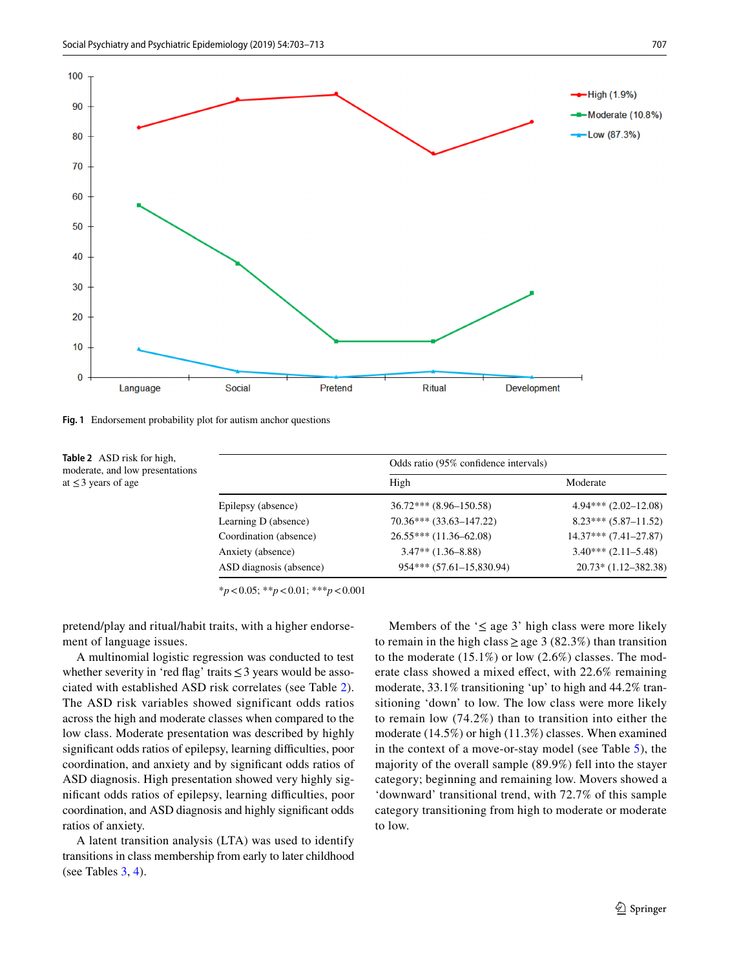

<span id="page-4-0"></span>**Fig. 1** Endorsement probability plot for autism anchor questions

<span id="page-4-1"></span>**Table 2** ASD risk for high, moderate, and low presentations at  $\leq$  3 years of age

|                         | Odds ratio (95% confidence intervals) |                          |  |
|-------------------------|---------------------------------------|--------------------------|--|
|                         | High                                  | Moderate                 |  |
| Epilepsy (absence)      | $36.72***$ $(8.96-150.58)$            | $4.94***$ $(2.02-12.08)$ |  |
| Learning D (absence)    | $70.36***$ $(33.63-147.22)$           | $8.23***(5.87-11.52)$    |  |
| Coordination (absence)  | $26.55***$ (11.36-62.08)              | $14.37***$ (7.41-27.87)  |  |
| Anxiety (absence)       | $3.47**$ (1.36–8.88)                  | $3.40***$ $(2.11-5.48)$  |  |
| ASD diagnosis (absence) | 954*** (57.61-15,830.94)              | $20.73*(1.12-382.38)$    |  |

\**p*<0.05; \*\**p*<0.01; \*\*\**p*<0.001

pretend/play and ritual/habit traits, with a higher endorsement of language issues.

A multinomial logistic regression was conducted to test whether severity in 'red flag' traits  $\leq$  3 years would be associated with established ASD risk correlates (see Table [2](#page-4-1)). The ASD risk variables showed significant odds ratios across the high and moderate classes when compared to the low class. Moderate presentation was described by highly significant odds ratios of epilepsy, learning difficulties, poor coordination, and anxiety and by significant odds ratios of ASD diagnosis. High presentation showed very highly significant odds ratios of epilepsy, learning difficulties, poor coordination, and ASD diagnosis and highly significant odds ratios of anxiety.

A latent transition analysis (LTA) was used to identify transitions in class membership from early to later childhood (see Tables [3,](#page-5-1) [4\)](#page-5-2).

Members of the ' $\leq$  age 3' high class were more likely to remain in the high class  $\geq$  age 3 (82.3%) than transition to the moderate (15.1%) or low (2.6%) classes. The moderate class showed a mixed effect, with 22.6% remaining moderate, 33.1% transitioning 'up' to high and 44.2% transitioning 'down' to low. The low class were more likely to remain low (74.2%) than to transition into either the moderate (14.5%) or high (11.3%) classes. When examined in the context of a move-or-stay model (see Table [5\)](#page-6-0), the majority of the overall sample (89.9%) fell into the stayer category; beginning and remaining low. Movers showed a 'downward' transitional trend, with 72.7% of this sample category transitioning from high to moderate or moderate to low.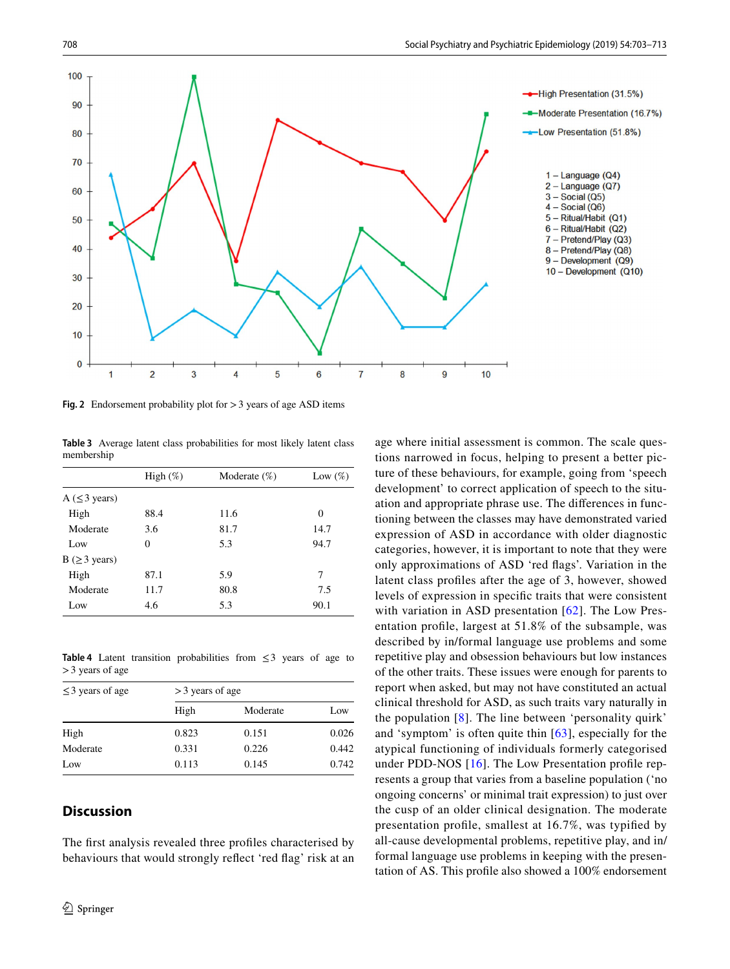

<span id="page-5-0"></span>**Fig. 2** Endorsement probability plot for >3 years of age ASD items

<span id="page-5-1"></span>**Table 3** Average latent class probabilities for most likely latent class membership

|                       | High $(\%)$ | Moderate $(\%)$ | Low $(\%)$ |
|-----------------------|-------------|-----------------|------------|
| A $(\leq 3$ years)    |             |                 |            |
| High                  | 88.4        | 11.6            | 0          |
| Moderate              | 3.6         | 81.7            | 14.7       |
| Low                   | 0           | 5.3             | 94.7       |
| $B$ ( $\geq$ 3 years) |             |                 |            |
| High                  | 87.1        | 5.9             | 7          |
| Moderate              | 11.7        | 80.8            | 7.5        |
| Low                   | 4.6         | 5.3             | 90.1       |

<span id="page-5-2"></span>**Table 4** Latent transition probabilities from  $\leq 3$  years of age to >3 years of age

| $\leq$ 3 years of age | $>$ 3 years of age |          |       |  |  |
|-----------------------|--------------------|----------|-------|--|--|
|                       | High               | Moderate | Low   |  |  |
| High                  | 0.823              | 0.151    | 0.026 |  |  |
| Moderate              | 0.331              | 0.226    | 0.442 |  |  |
| Low                   | 0.113              | 0.145    | 0.742 |  |  |

# **Discussion**

The first analysis revealed three profiles characterised by behaviours that would strongly reflect 'red flag' risk at an age where initial assessment is common. The scale questions narrowed in focus, helping to present a better picture of these behaviours, for example, going from 'speech development' to correct application of speech to the situation and appropriate phrase use. The differences in functioning between the classes may have demonstrated varied expression of ASD in accordance with older diagnostic categories, however, it is important to note that they were only approximations of ASD 'red flags'. Variation in the latent class profiles after the age of 3, however, showed levels of expression in specific traits that were consistent with variation in ASD presentation [[62](#page-9-29)]. The Low Presentation profile, largest at 51.8% of the subsample, was described by in/formal language use problems and some repetitive play and obsession behaviours but low instances of the other traits. These issues were enough for parents to report when asked, but may not have constituted an actual clinical threshold for ASD, as such traits vary naturally in the population [[8](#page-8-5)]. The line between 'personality quirk' and 'symptom' is often quite thin [[63](#page-9-30)], especially for the atypical functioning of individuals formerly categorised under PDD-NOS [\[16\]](#page-8-12). The Low Presentation profile represents a group that varies from a baseline population ('no ongoing concerns' or minimal trait expression) to just over the cusp of an older clinical designation. The moderate presentation profile, smallest at 16.7%, was typified by all-cause developmental problems, repetitive play, and in/ formal language use problems in keeping with the presentation of AS. This profile also showed a 100% endorsement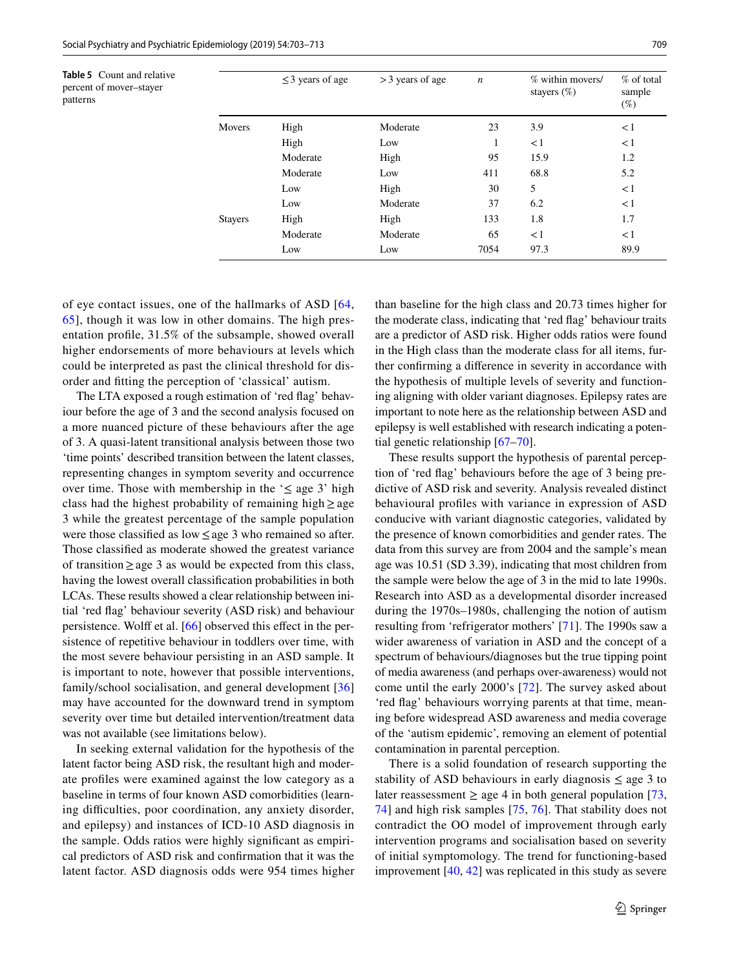<span id="page-6-0"></span>**Table 5** Count and relative percent of mover–stayer

patterns

|                | $\leq$ 3 years of age | $>$ 3 years of age | $\boldsymbol{n}$ | % within movers/<br>stayers $(\%)$ | $%$ of total<br>sample<br>$(\%)$ |
|----------------|-----------------------|--------------------|------------------|------------------------------------|----------------------------------|
| <b>Movers</b>  | High                  | Moderate           | 23               | 3.9                                | $\lt 1$                          |
|                | High                  | Low                | 1                | $\leq$ 1                           | $\leq$ 1                         |
|                | Moderate              | High               | 95               | 15.9                               | 1.2                              |
|                | Moderate              | Low                | 411              | 68.8                               | 5.2                              |
|                | Low                   | High               | 30               | 5                                  | $\lt 1$                          |
|                | Low                   | Moderate           | 37               | 6.2                                | $\lt 1$                          |
| <b>Stayers</b> | High                  | High               | 133              | 1.8                                | 1.7                              |
|                | Moderate              | Moderate           | 65               | $\leq$ 1                           | $\leq$ 1                         |
|                | Low                   | Low                | 7054             | 97.3                               | 89.9                             |

of eye contact issues, one of the hallmarks of ASD [[64,](#page-9-31) [65\]](#page-9-32), though it was low in other domains. The high presentation profile, 31.5% of the subsample, showed overall higher endorsements of more behaviours at levels which could be interpreted as past the clinical threshold for dis-

order and fitting the perception of 'classical' autism. The LTA exposed a rough estimation of 'red flag' behaviour before the age of 3 and the second analysis focused on a more nuanced picture of these behaviours after the age of 3. A quasi-latent transitional analysis between those two 'time points' described transition between the latent classes, representing changes in symptom severity and occurrence over time. Those with membership in the ' $\leq$  age 3' high class had the highest probability of remaining high $\geq$ age 3 while the greatest percentage of the sample population were those classified as low≤age 3 who remained so after. Those classified as moderate showed the greatest variance of transition≥age 3 as would be expected from this class, having the lowest overall classification probabilities in both LCAs. These results showed a clear relationship between initial 'red flag' behaviour severity (ASD risk) and behaviour persistence. Wolff et al. [\[66](#page-9-33)] observed this effect in the persistence of repetitive behaviour in toddlers over time, with the most severe behaviour persisting in an ASD sample. It is important to note, however that possible interventions, family/school socialisation, and general development [[36\]](#page-9-9) may have accounted for the downward trend in symptom severity over time but detailed intervention/treatment data was not available (see limitations below).

In seeking external validation for the hypothesis of the latent factor being ASD risk, the resultant high and moderate profiles were examined against the low category as a baseline in terms of four known ASD comorbidities (learning difficulties, poor coordination, any anxiety disorder, and epilepsy) and instances of ICD-10 ASD diagnosis in the sample. Odds ratios were highly significant as empirical predictors of ASD risk and confirmation that it was the latent factor. ASD diagnosis odds were 954 times higher than baseline for the high class and 20.73 times higher for the moderate class, indicating that 'red flag' behaviour traits are a predictor of ASD risk. Higher odds ratios were found in the High class than the moderate class for all items, further confirming a difference in severity in accordance with the hypothesis of multiple levels of severity and functioning aligning with older variant diagnoses. Epilepsy rates are important to note here as the relationship between ASD and epilepsy is well established with research indicating a potential genetic relationship [[67–](#page-10-0)[70\]](#page-10-1).

These results support the hypothesis of parental perception of 'red flag' behaviours before the age of 3 being predictive of ASD risk and severity. Analysis revealed distinct behavioural profiles with variance in expression of ASD conducive with variant diagnostic categories, validated by the presence of known comorbidities and gender rates. The data from this survey are from 2004 and the sample's mean age was 10.51 (SD 3.39), indicating that most children from the sample were below the age of 3 in the mid to late 1990s. Research into ASD as a developmental disorder increased during the 1970s–1980s, challenging the notion of autism resulting from 'refrigerator mothers' [\[71](#page-10-2)]. The 1990s saw a wider awareness of variation in ASD and the concept of a spectrum of behaviours/diagnoses but the true tipping point of media awareness (and perhaps over-awareness) would not come until the early 2000's [[72\]](#page-10-3). The survey asked about 'red flag' behaviours worrying parents at that time, meaning before widespread ASD awareness and media coverage of the 'autism epidemic', removing an element of potential contamination in parental perception.

There is a solid foundation of research supporting the stability of ASD behaviours in early diagnosis  $\leq$  age 3 to later reassessment  $\geq$  age 4 in both general population [[73,](#page-10-4) [74](#page-10-5)] and high risk samples [\[75](#page-10-6), [76\]](#page-10-7). That stability does not contradict the OO model of improvement through early intervention programs and socialisation based on severity of initial symptomology. The trend for functioning-based improvement [\[40](#page-9-11), [42](#page-9-13)] was replicated in this study as severe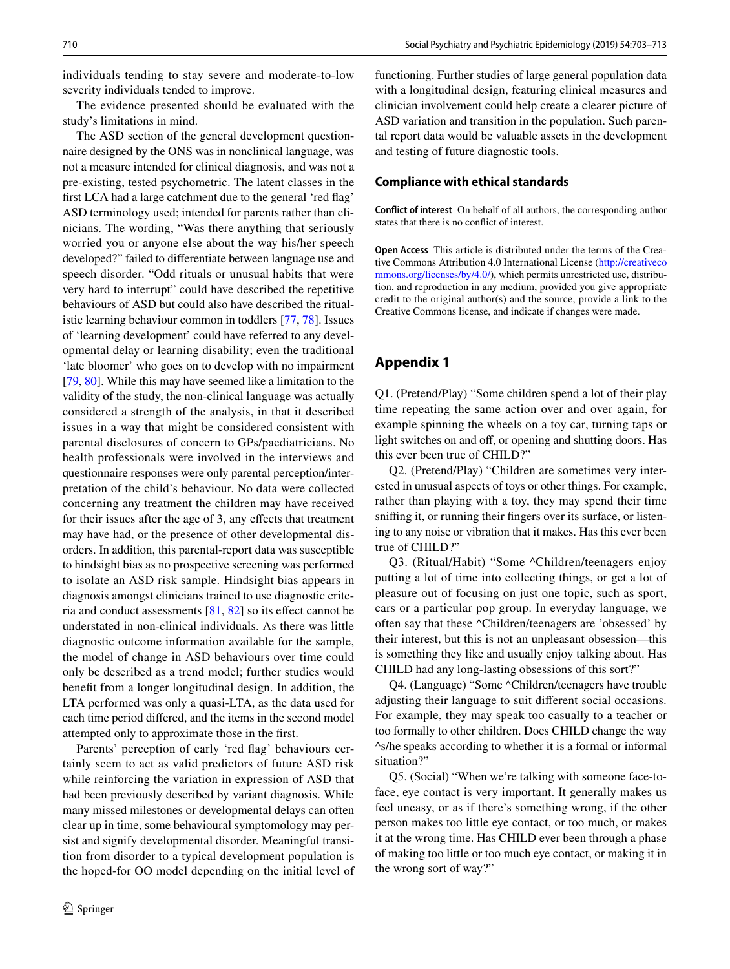individuals tending to stay severe and moderate-to-low severity individuals tended to improve.

The evidence presented should be evaluated with the study's limitations in mind.

The ASD section of the general development questionnaire designed by the ONS was in nonclinical language, was not a measure intended for clinical diagnosis, and was not a pre-existing, tested psychometric. The latent classes in the first LCA had a large catchment due to the general 'red flag' ASD terminology used; intended for parents rather than clinicians. The wording, "Was there anything that seriously worried you or anyone else about the way his/her speech developed?" failed to differentiate between language use and speech disorder. "Odd rituals or unusual habits that were very hard to interrupt" could have described the repetitive behaviours of ASD but could also have described the ritualistic learning behaviour common in toddlers [\[77](#page-10-8), [78\]](#page-10-9). Issues of 'learning development' could have referred to any developmental delay or learning disability; even the traditional 'late bloomer' who goes on to develop with no impairment [\[79](#page-10-10), [80](#page-10-11)]. While this may have seemed like a limitation to the validity of the study, the non-clinical language was actually considered a strength of the analysis, in that it described issues in a way that might be considered consistent with parental disclosures of concern to GPs/paediatricians. No health professionals were involved in the interviews and questionnaire responses were only parental perception/interpretation of the child's behaviour. No data were collected concerning any treatment the children may have received for their issues after the age of 3, any effects that treatment may have had, or the presence of other developmental disorders. In addition, this parental-report data was susceptible to hindsight bias as no prospective screening was performed to isolate an ASD risk sample. Hindsight bias appears in diagnosis amongst clinicians trained to use diagnostic criteria and conduct assessments [[81,](#page-10-12) [82\]](#page-10-13) so its effect cannot be understated in non-clinical individuals. As there was little diagnostic outcome information available for the sample, the model of change in ASD behaviours over time could only be described as a trend model; further studies would benefit from a longer longitudinal design. In addition, the LTA performed was only a quasi-LTA, as the data used for each time period differed, and the items in the second model attempted only to approximate those in the first.

Parents' perception of early 'red flag' behaviours certainly seem to act as valid predictors of future ASD risk while reinforcing the variation in expression of ASD that had been previously described by variant diagnosis. While many missed milestones or developmental delays can often clear up in time, some behavioural symptomology may persist and signify developmental disorder. Meaningful transition from disorder to a typical development population is the hoped-for OO model depending on the initial level of functioning. Further studies of large general population data with a longitudinal design, featuring clinical measures and clinician involvement could help create a clearer picture of ASD variation and transition in the population. Such parental report data would be valuable assets in the development and testing of future diagnostic tools.

### **Compliance with ethical standards**

**Conflict of interest** On behalf of all authors, the corresponding author states that there is no conflict of interest.

**Open Access** This article is distributed under the terms of the Creative Commons Attribution 4.0 International License ([http://creativeco](http://creativecommons.org/licenses/by/4.0/) [mmons.org/licenses/by/4.0/](http://creativecommons.org/licenses/by/4.0/)), which permits unrestricted use, distribution, and reproduction in any medium, provided you give appropriate credit to the original author(s) and the source, provide a link to the Creative Commons license, and indicate if changes were made.

# <span id="page-7-0"></span>**Appendix 1**

Q1. (Pretend/Play) "Some children spend a lot of their play time repeating the same action over and over again, for example spinning the wheels on a toy car, turning taps or light switches on and off, or opening and shutting doors. Has this ever been true of CHILD?"

Q2. (Pretend/Play) "Children are sometimes very interested in unusual aspects of toys or other things. For example, rather than playing with a toy, they may spend their time sniffing it, or running their fingers over its surface, or listening to any noise or vibration that it makes. Has this ever been true of CHILD?"

Q3. (Ritual/Habit) "Some ^Children/teenagers enjoy putting a lot of time into collecting things, or get a lot of pleasure out of focusing on just one topic, such as sport, cars or a particular pop group. In everyday language, we often say that these ^Children/teenagers are 'obsessed' by their interest, but this is not an unpleasant obsession—this is something they like and usually enjoy talking about. Has CHILD had any long-lasting obsessions of this sort?"

Q4. (Language) "Some ^Children/teenagers have trouble adjusting their language to suit different social occasions. For example, they may speak too casually to a teacher or too formally to other children. Does CHILD change the way ^s/he speaks according to whether it is a formal or informal situation?"

Q5. (Social) "When we're talking with someone face-toface, eye contact is very important. It generally makes us feel uneasy, or as if there's something wrong, if the other person makes too little eye contact, or too much, or makes it at the wrong time. Has CHILD ever been through a phase of making too little or too much eye contact, or making it in the wrong sort of way?"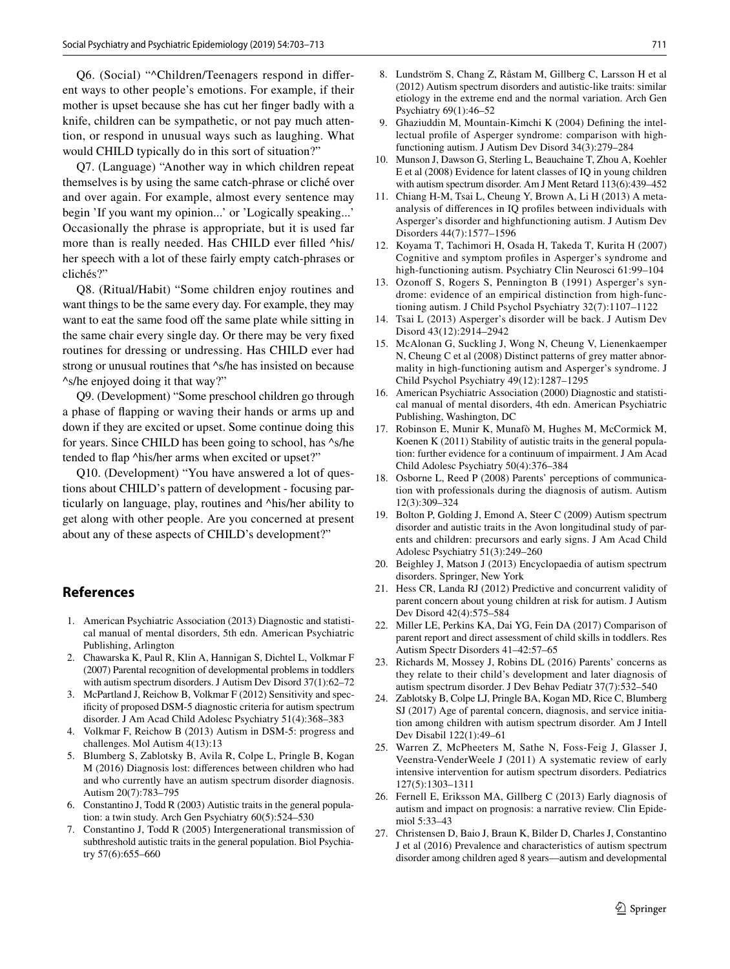Q6. (Social) "^Children/Teenagers respond in different ways to other people's emotions. For example, if their mother is upset because she has cut her finger badly with a knife, children can be sympathetic, or not pay much attention, or respond in unusual ways such as laughing. What would CHILD typically do in this sort of situation?"

Q7. (Language) "Another way in which children repeat themselves is by using the same catch-phrase or cliché over and over again. For example, almost every sentence may begin 'If you want my opinion...' or 'Logically speaking...' Occasionally the phrase is appropriate, but it is used far more than is really needed. Has CHILD ever filled  $\Delta$ his/ her speech with a lot of these fairly empty catch-phrases or clichés?"

Q8. (Ritual/Habit) "Some children enjoy routines and want things to be the same every day. For example, they may want to eat the same food off the same plate while sitting in the same chair every single day. Or there may be very fixed routines for dressing or undressing. Has CHILD ever had strong or unusual routines that  $\triangle$ s/he has insisted on because ^s/he enjoyed doing it that way?"

Q9. (Development) "Some preschool children go through a phase of flapping or waving their hands or arms up and down if they are excited or upset. Some continue doing this for years. Since CHILD has been going to school, has ^s/he tended to flap ^his/her arms when excited or upset?"

Q10. (Development) "You have answered a lot of questions about CHILD's pattern of development - focusing particularly on language, play, routines and ^his/her ability to get along with other people. Are you concerned at present about any of these aspects of CHILD's development?"

### **References**

- <span id="page-8-0"></span>1. American Psychiatric Association (2013) Diagnostic and statistical manual of mental disorders, 5th edn. American Psychiatric Publishing, Arlington
- <span id="page-8-1"></span>2. Chawarska K, Paul R, Klin A, Hannigan S, Dichtel L, Volkmar F (2007) Parental recognition of developmental problems in toddlers with autism spectrum disorders. J Autism Dev Disord 37(1):62–72
- <span id="page-8-2"></span>3. McPartland J, Reichow B, Volkmar F (2012) Sensitivity and specificity of proposed DSM-5 diagnostic criteria for autism spectrum disorder. J Am Acad Child Adolesc Psychiatry 51(4):368–383
- 4. Volkmar F, Reichow B (2013) Autism in DSM-5: progress and challenges. Mol Autism 4(13):13
- <span id="page-8-3"></span>5. Blumberg S, Zablotsky B, Avila R, Colpe L, Pringle B, Kogan M (2016) Diagnosis lost: differences between children who had and who currently have an autism spectrum disorder diagnosis. Autism 20(7):783–795
- <span id="page-8-4"></span>6. Constantino J, Todd R (2003) Autistic traits in the general population: a twin study. Arch Gen Psychiatry 60(5):524–530
- 7. Constantino J, Todd R (2005) Intergenerational transmission of subthreshold autistic traits in the general population. Biol Psychiatry 57(6):655–660
- <span id="page-8-5"></span>8. Lundström S, Chang Z, Råstam M, Gillberg C, Larsson H et al (2012) Autism spectrum disorders and autistic-like traits: similar etiology in the extreme end and the normal variation. Arch Gen Psychiatry 69(1):46–52
- <span id="page-8-6"></span>9. Ghaziuddin M, Mountain-Kimchi K (2004) Defining the intellectual profile of Asperger syndrome: comparison with highfunctioning autism. J Autism Dev Disord 34(3):279–284
- 10. Munson J, Dawson G, Sterling L, Beauchaine T, Zhou A, Koehler E et al (2008) Evidence for latent classes of IQ in young children with autism spectrum disorder. Am J Ment Retard 113(6):439–452
- <span id="page-8-7"></span>11. Chiang H-M, Tsai L, Cheung Y, Brown A, Li H (2013) A metaanalysis of differences in IQ profiles between individuals with Asperger's disorder and highfunctioning autism. J Autism Dev Disorders 44(7):1577–1596
- <span id="page-8-8"></span>12. Koyama T, Tachimori H, Osada H, Takeda T, Kurita H (2007) Cognitive and symptom profiles in Asperger's syndrome and high-functioning autism. Psychiatry Clin Neurosci 61:99–104
- <span id="page-8-9"></span>13. Ozonoff S, Rogers S, Pennington B (1991) Asperger's syndrome: evidence of an empirical distinction from high-functioning autism. J Child Psychol Psychiatry 32(7):1107–1122
- <span id="page-8-10"></span>14. Tsai L (2013) Asperger's disorder will be back. J Autism Dev Disord 43(12):2914–2942
- <span id="page-8-11"></span>15. McAlonan G, Suckling J, Wong N, Cheung V, Lienenkaemper N, Cheung C et al (2008) Distinct patterns of grey matter abnormality in high-functioning autism and Asperger's syndrome. J Child Psychol Psychiatry 49(12):1287–1295
- <span id="page-8-12"></span>16. American Psychiatric Association (2000) Diagnostic and statistical manual of mental disorders, 4th edn. American Psychiatric Publishing, Washington, DC
- <span id="page-8-13"></span>17. Robinson E, Munir K, Munafò M, Hughes M, McCormick M, Koenen K (2011) Stability of autistic traits in the general population: further evidence for a continuum of impairment. J Am Acad Child Adolesc Psychiatry 50(4):376–384
- <span id="page-8-14"></span>18. Osborne L, Reed P (2008) Parents' perceptions of communication with professionals during the diagnosis of autism. Autism 12(3):309–324
- <span id="page-8-15"></span>19. Bolton P, Golding J, Emond A, Steer C (2009) Autism spectrum disorder and autistic traits in the Avon longitudinal study of parents and children: precursors and early signs. J Am Acad Child Adolesc Psychiatry 51(3):249–260
- <span id="page-8-16"></span>20. Beighley J, Matson J (2013) Encyclopaedia of autism spectrum disorders. Springer, New York
- <span id="page-8-17"></span>21. Hess CR, Landa RJ (2012) Predictive and concurrent validity of parent concern about young children at risk for autism. J Autism Dev Disord 42(4):575–584
- <span id="page-8-18"></span>22. Miller LE, Perkins KA, Dai YG, Fein DA (2017) Comparison of parent report and direct assessment of child skills in toddlers. Res Autism Spectr Disorders 41–42:57–65
- <span id="page-8-19"></span>23. Richards M, Mossey J, Robins DL (2016) Parents' concerns as they relate to their child's development and later diagnosis of autism spectrum disorder. J Dev Behav Pediatr 37(7):532–540
- <span id="page-8-20"></span>24. Zablotsky B, Colpe LJ, Pringle BA, Kogan MD, Rice C, Blumberg SJ (2017) Age of parental concern, diagnosis, and service initiation among children with autism spectrum disorder. Am J Intell Dev Disabil 122(1):49–61
- <span id="page-8-21"></span>25. Warren Z, McPheeters M, Sathe N, Foss-Feig J, Glasser J, Veenstra-VenderWeele J (2011) A systematic review of early intensive intervention for autism spectrum disorders. Pediatrics 127(5):1303–1311
- <span id="page-8-22"></span>26. Fernell E, Eriksson MA, Gillberg C (2013) Early diagnosis of autism and impact on prognosis: a narrative review. Clin Epidemiol 5:33–43
- <span id="page-8-23"></span>27. Christensen D, Baio J, Braun K, Bilder D, Charles J, Constantino J et al (2016) Prevalence and characteristics of autism spectrum disorder among children aged 8 years—autism and developmental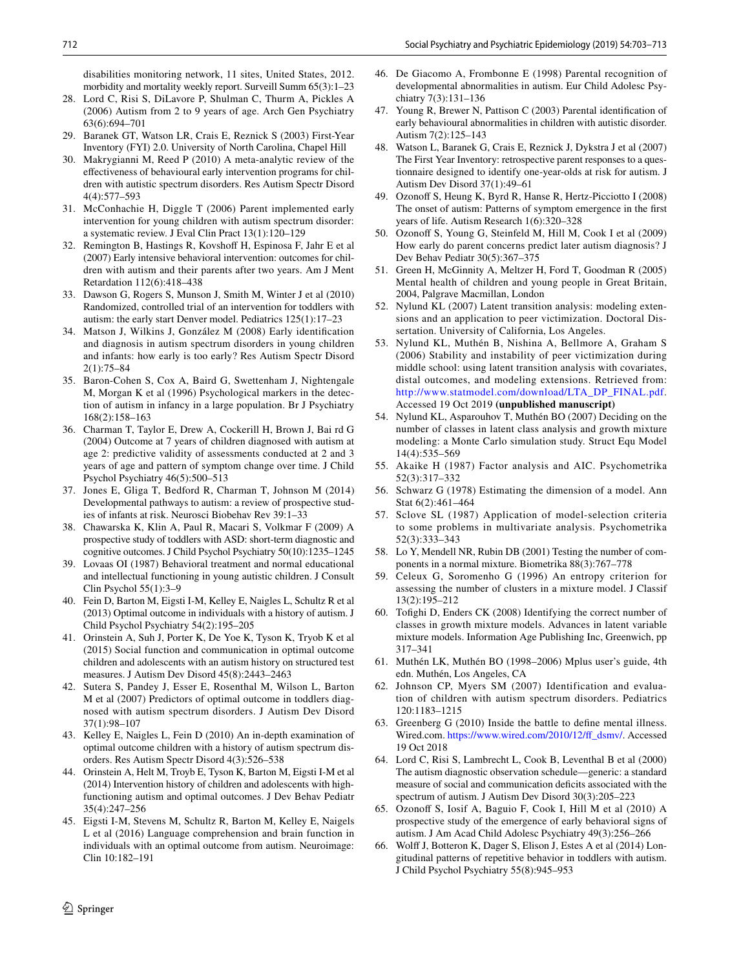disabilities monitoring network, 11 sites, United States, 2012. morbidity and mortality weekly report. Surveill Summ 65(3):1–23

- <span id="page-9-0"></span>28. Lord C, Risi S, DiLavore P, Shulman C, Thurm A, Pickles A (2006) Autism from 2 to 9 years of age. Arch Gen Psychiatry 63(6):694–701
- <span id="page-9-1"></span>29. Baranek GT, Watson LR, Crais E, Reznick S (2003) First-Year Inventory (FYI) 2.0. University of North Carolina, Chapel Hill
- <span id="page-9-2"></span>30. Makrygianni M, Reed P (2010) A meta-analytic review of the effectiveness of behavioural early intervention programs for children with autistic spectrum disorders. Res Autism Spectr Disord 4(4):577–593
- <span id="page-9-3"></span>31. McConhachie H, Diggle T (2006) Parent implemented early intervention for young children with autism spectrum disorder: a systematic review. J Eval Clin Pract 13(1):120–129
- 32. Remington B, Hastings R, Kovshoff H, Espinosa F, Jahr E et al (2007) Early intensive behavioral intervention: outcomes for children with autism and their parents after two years. Am J Ment Retardation 112(6):418–438
- <span id="page-9-4"></span>33. Dawson G, Rogers S, Munson J, Smith M, Winter J et al (2010) Randomized, controlled trial of an intervention for toddlers with autism: the early start Denver model. Pediatrics 125(1):17–23
- <span id="page-9-5"></span>34. Matson J, Wilkins J, González M (2008) Early identification and diagnosis in autism spectrum disorders in young children and infants: how early is too early? Res Autism Spectr Disord 2(1):75–84
- <span id="page-9-6"></span>35. Baron-Cohen S, Cox A, Baird G, Swettenham J, Nightengale M, Morgan K et al (1996) Psychological markers in the detection of autism in infancy in a large population. Br J Psychiatry 168(2):158–163
- <span id="page-9-9"></span>36. Charman T, Taylor E, Drew A, Cockerill H, Brown J, Bai rd G (2004) Outcome at 7 years of children diagnosed with autism at age 2: predictive validity of assessments conducted at 2 and 3 years of age and pattern of symptom change over time. J Child Psychol Psychiatry 46(5):500–513
- <span id="page-9-7"></span>37. Jones E, Gliga T, Bedford R, Charman T, Johnson M (2014) Developmental pathways to autism: a review of prospective studies of infants at risk. Neurosci Biobehav Rev 39:1–33
- <span id="page-9-8"></span>38. Chawarska K, Klin A, Paul R, Macari S, Volkmar F (2009) A prospective study of toddlers with ASD: short-term diagnostic and cognitive outcomes. J Child Psychol Psychiatry 50(10):1235–1245
- <span id="page-9-10"></span>39. Lovaas OI (1987) Behavioral treatment and normal educational and intellectual functioning in young autistic children. J Consult Clin Psychol 55(1):3–9
- <span id="page-9-11"></span>40. Fein D, Barton M, Eigsti I-M, Kelley E, Naigles L, Schultz R et al (2013) Optimal outcome in individuals with a history of autism. J Child Psychol Psychiatry 54(2):195–205
- <span id="page-9-12"></span>41. Orinstein A, Suh J, Porter K, De Yoe K, Tyson K, Tryob K et al (2015) Social function and communication in optimal outcome children and adolescents with an autism history on structured test measures. J Autism Dev Disord 45(8):2443–2463
- <span id="page-9-13"></span>42. Sutera S, Pandey J, Esser E, Rosenthal M, Wilson L, Barton M et al (2007) Predictors of optimal outcome in toddlers diagnosed with autism spectrum disorders. J Autism Dev Disord 37(1):98–107
- 43. Kelley E, Naigles L, Fein D (2010) An in-depth examination of optimal outcome children with a history of autism spectrum disorders. Res Autism Spectr Disord 4(3):526–538
- <span id="page-9-14"></span>44. Orinstein A, Helt M, Troyb E, Tyson K, Barton M, Eigsti I-M et al (2014) Intervention history of children and adolescents with highfunctioning autism and optimal outcomes. J Dev Behav Pediatr 35(4):247–256
- <span id="page-9-15"></span>45. Eigsti I-M, Stevens M, Schultz R, Barton M, Kelley E, Naigels L et al (2016) Language comprehension and brain function in individuals with an optimal outcome from autism. Neuroimage: Clin 10:182–191
- <span id="page-9-16"></span>46. De Giacomo A, Frombonne E (1998) Parental recognition of developmental abnormalities in autism. Eur Child Adolesc Psychiatry 7(3):131–136
- 47. Young R, Brewer N, Pattison C (2003) Parental identification of early behavioural abnormalities in children with autistic disorder. Autism 7(2):125–143
- 48. Watson L, Baranek G, Crais E, Reznick J, Dykstra J et al (2007) The First Year Inventory: retrospective parent responses to a questionnaire designed to identify one-year-olds at risk for autism. J Autism Dev Disord 37(1):49–61
- 49. Ozonoff S, Heung K, Byrd R, Hanse R, Hertz-Picciotto I (2008) The onset of autism: Patterns of symptom emergence in the first years of life. Autism Research 1(6):320–328
- <span id="page-9-17"></span>50. Ozonoff S, Young G, Steinfeld M, Hill M, Cook I et al (2009) How early do parent concerns predict later autism diagnosis? J Dev Behav Pediatr 30(5):367–375
- <span id="page-9-18"></span>51. Green H, McGinnity A, Meltzer H, Ford T, Goodman R (2005) Mental health of children and young people in Great Britain, 2004, Palgrave Macmillan, London
- <span id="page-9-19"></span>52. Nylund KL (2007) Latent transition analysis: modeling extensions and an application to peer victimization. Doctoral Dissertation. University of California, Los Angeles.
- <span id="page-9-20"></span>53. Nylund KL, Muthén B, Nishina A, Bellmore A, Graham S (2006) Stability and instability of peer victimization during middle school: using latent transition analysis with covariates, distal outcomes, and modeling extensions. Retrieved from: [http://www.statmodel.com/download/LTA\\_DP\\_FINAL.pdf](http://www.statmodel.com/download/LTA_DP_FINAL.pdf). Accessed 19 Oct 2019 **(unpublished manuscript)**
- <span id="page-9-21"></span>54. Nylund KL, Asparouhov T, Muthén BO (2007) Deciding on the number of classes in latent class analysis and growth mixture modeling: a Monte Carlo simulation study. Struct Equ Model 14(4):535–569
- <span id="page-9-22"></span>55. Akaike H (1987) Factor analysis and AIC. Psychometrika 52(3):317–332
- <span id="page-9-23"></span>56. Schwarz G (1978) Estimating the dimension of a model. Ann Stat 6(2):461–464
- <span id="page-9-24"></span>57. Sclove SL (1987) Application of model-selection criteria to some problems in multivariate analysis. Psychometrika 52(3):333–343
- <span id="page-9-25"></span>58. Lo Y, Mendell NR, Rubin DB (2001) Testing the number of components in a normal mixture. Biometrika 88(3):767–778
- <span id="page-9-26"></span>59. Celeux G, Soromenho G (1996) An entropy criterion for assessing the number of clusters in a mixture model. J Classif 13(2):195–212
- <span id="page-9-27"></span>60. Tofighi D, Enders CK (2008) Identifying the correct number of classes in growth mixture models. Advances in latent variable mixture models. Information Age Publishing Inc, Greenwich, pp 317–341
- <span id="page-9-28"></span>61. Muthén LK, Muthén BO (1998–2006) Mplus user's guide, 4th edn. Muthén, Los Angeles, CA
- <span id="page-9-29"></span>62. Johnson CP, Myers SM (2007) Identification and evaluation of children with autism spectrum disorders. Pediatrics 120:1183–1215
- <span id="page-9-30"></span>63. Greenberg G (2010) Inside the battle to define mental illness. Wired.com. [https://www.wired.com/2010/12/ff\\_dsmv/](https://www.wired.com/2010/12/ff_dsmv/). Accessed 19 Oct 2018
- <span id="page-9-31"></span>64. Lord C, Risi S, Lambrecht L, Cook B, Leventhal B et al (2000) The autism diagnostic observation schedule—generic: a standard measure of social and communication deficits associated with the spectrum of autism. J Autism Dev Disord 30(3):205–223
- <span id="page-9-32"></span>65. Ozonoff S, Iosif A, Baguio F, Cook I, Hill M et al (2010) A prospective study of the emergence of early behavioral signs of autism. J Am Acad Child Adolesc Psychiatry 49(3):256–266
- <span id="page-9-33"></span>66. Wolff J, Botteron K, Dager S, Elison J, Estes A et al (2014) Longitudinal patterns of repetitive behavior in toddlers with autism. J Child Psychol Psychiatry 55(8):945–953